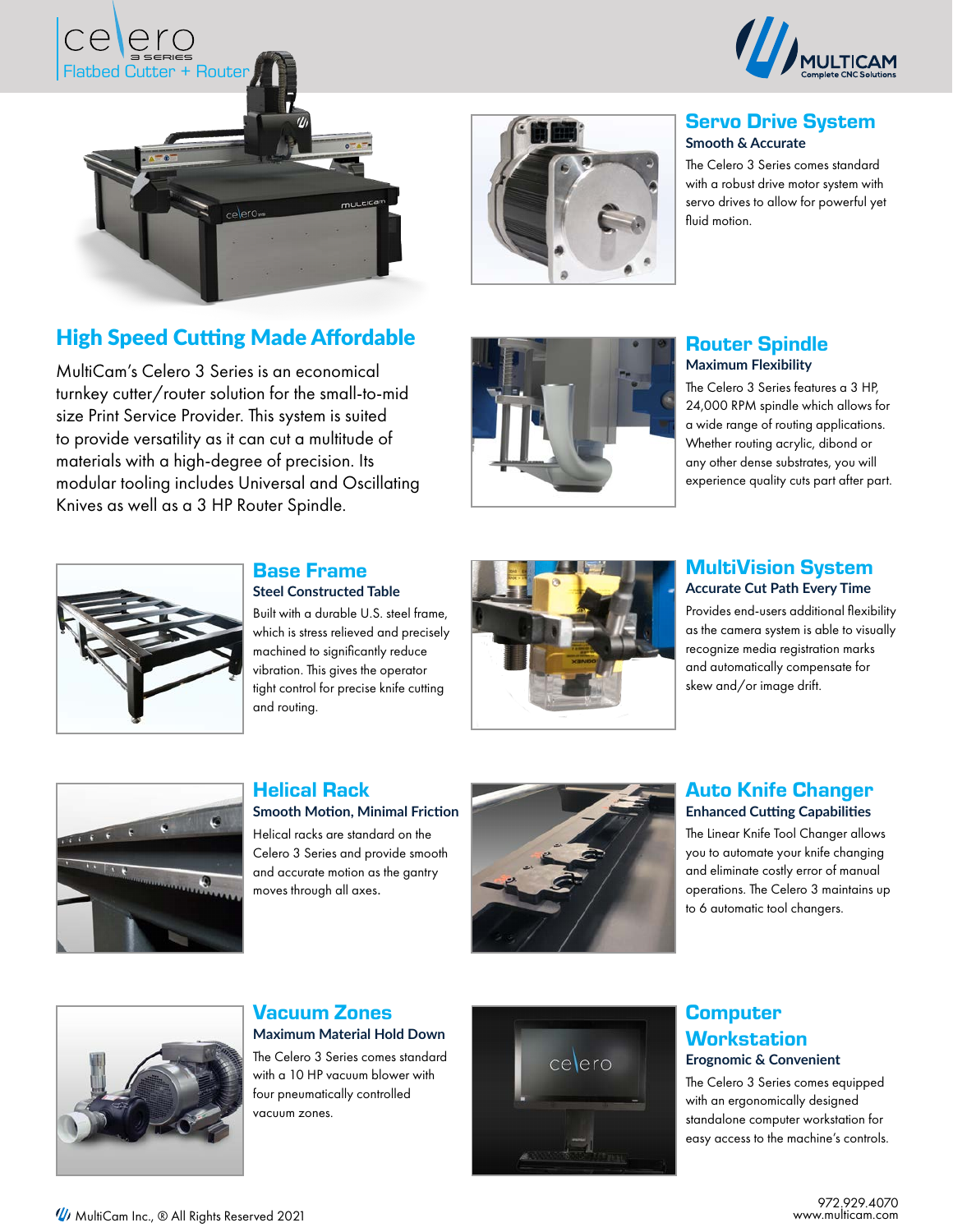





# High Speed Cutting Made Affordable

MultiCam's Celero 3 Series is an economical turnkey cutter/router solution for the small-to-mid size Print Service Provider. This system is suited to provide versatility as it can cut a multitude of materials with a high-degree of precision. Its modular tooling includes Universal and Oscillating Knives as well as a 3 HP Router Spindle.



#### Servo Drive System **Smooth & Accurate**

The Celero 3 Series comes standard with a robust drive motor system with servo drives to allow for powerful yet fluid motion.



#### Router Spindle **Maximum Flexibility**

The Celero 3 Series features a 3 HP, 24,000 RPM spindle which allows for a wide range of routing applications. Whether routing acrylic, dibond or any other dense substrates, you will experience quality cuts part after part.



#### Base Frame **Steel Constructed Table**

Built with a durable U.S. steel frame, which is stress relieved and precisely machined to significantly reduce vibration. This gives the operator tight control for precise knife cutting and routing.



#### MultiVision System **Accurate Cut Path Every Time**

Provides end-users additional flexibility as the camera system is able to visually recognize media registration marks and automatically compensate for skew and/or image drift.



## Helical Rack

**Smooth Motion, Minimal Friction** Helical racks are standard on the Celero 3 Series and provide smooth and accurate motion as the gantry moves through all axes.



#### Auto Knife Changer **Enhanced Cutting Capabilities**

The Linear Knife Tool Changer allows you to automate your knife changing and eliminate costly error of manual operations. The Celero 3 maintains up to 6 automatic tool changers.



#### Vacuum Zones **Maximum Material Hold Down**

The Celero 3 Series comes standard with a 10 HP vacuum blower with four pneumatically controlled vacuum zones.



## **Computer Workstation Erognomic & Convenient**

The Celero 3 Series comes equipped with an ergonomically designed standalone computer workstation for easy access to the machine's controls.